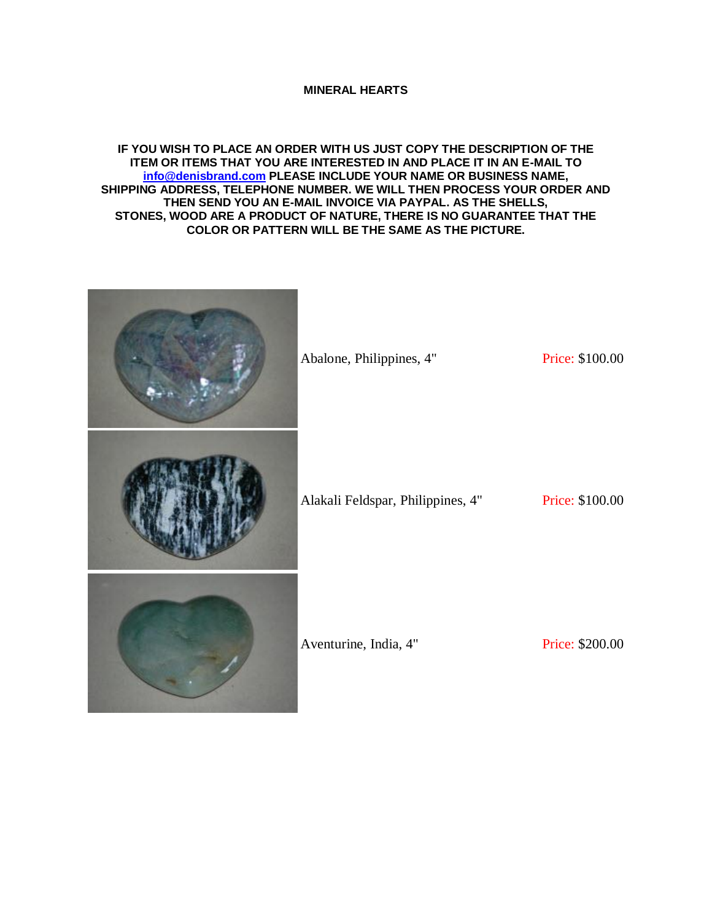## **MINERAL HEARTS**

## **IF YOU WISH TO PLACE AN ORDER WITH US JUST COPY THE DESCRIPTION OF THE ITEM OR ITEMS THAT YOU ARE INTERESTED IN AND PLACE IT IN AN E-MAIL TO [info@denisbrand.com](mailto:info@denisbrand.com) PLEASE INCLUDE YOUR NAME OR BUSINESS NAME, SHIPPING ADDRESS, TELEPHONE NUMBER. WE WILL THEN PROCESS YOUR ORDER AND THEN SEND YOU AN E-MAIL INVOICE VIA PAYPAL. AS THE SHELLS, STONES, WOOD ARE A PRODUCT OF NATURE, THERE IS NO GUARANTEE THAT THE COLOR OR PATTERN WILL BE THE SAME AS THE PICTURE.**

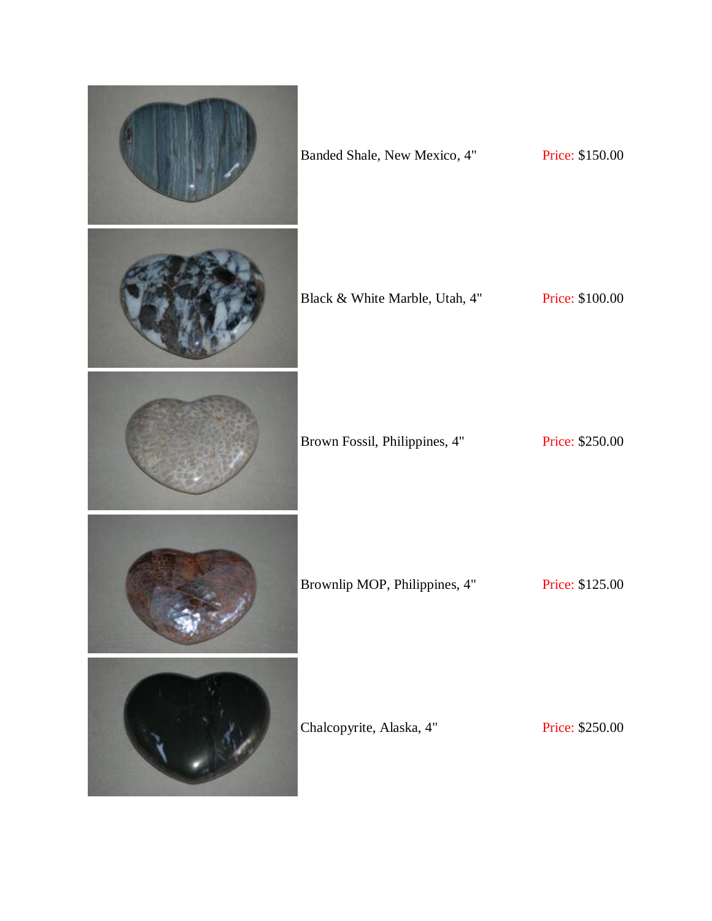| Banded Shale, New Mexico, 4"   | Price: \$150.00 |
|--------------------------------|-----------------|
| Black & White Marble, Utah, 4" | Price: \$100.00 |
| Brown Fossil, Philippines, 4"  | Price: \$250.00 |
| Brownlip MOP, Philippines, 4"  | Price: \$125.00 |
| Chalcopyrite, Alaska, 4"       | Price: \$250.00 |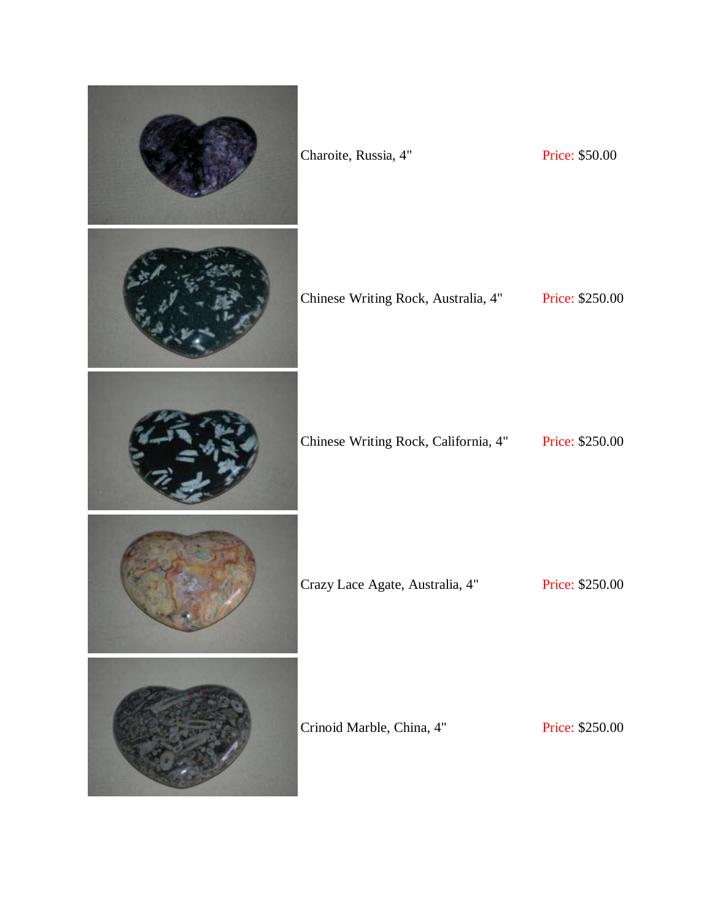| Charoite, Russia, 4"                 | Price: \$50.00  |
|--------------------------------------|-----------------|
| Chinese Writing Rock, Australia, 4"  | Price: \$250.00 |
| Chinese Writing Rock, California, 4" | Price: \$250.00 |
| Crazy Lace Agate, Australia, 4"      | Price: \$250.00 |
| Crinoid Marble, China, 4"            | Price: \$250.00 |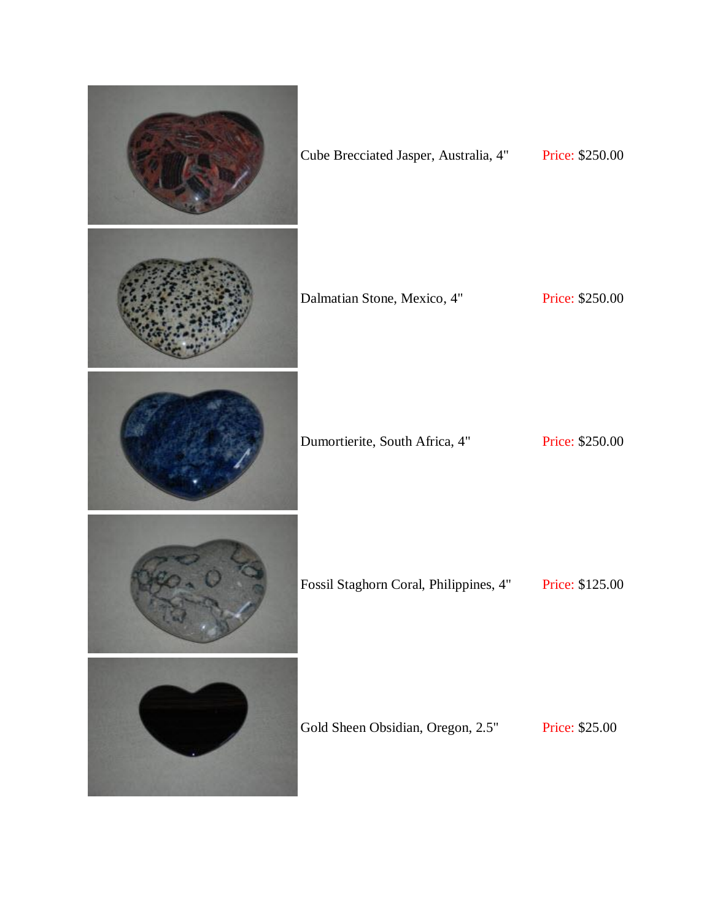| Cube Brecciated Jasper, Australia, 4"  | Price: \$250.00 |
|----------------------------------------|-----------------|
| Dalmatian Stone, Mexico, 4"            | Price: \$250.00 |
| Dumortierite, South Africa, 4"         | Price: \$250.00 |
| Fossil Staghorn Coral, Philippines, 4" | Price: \$125.00 |
| Gold Sheen Obsidian, Oregon, 2.5"      | Price: \$25.00  |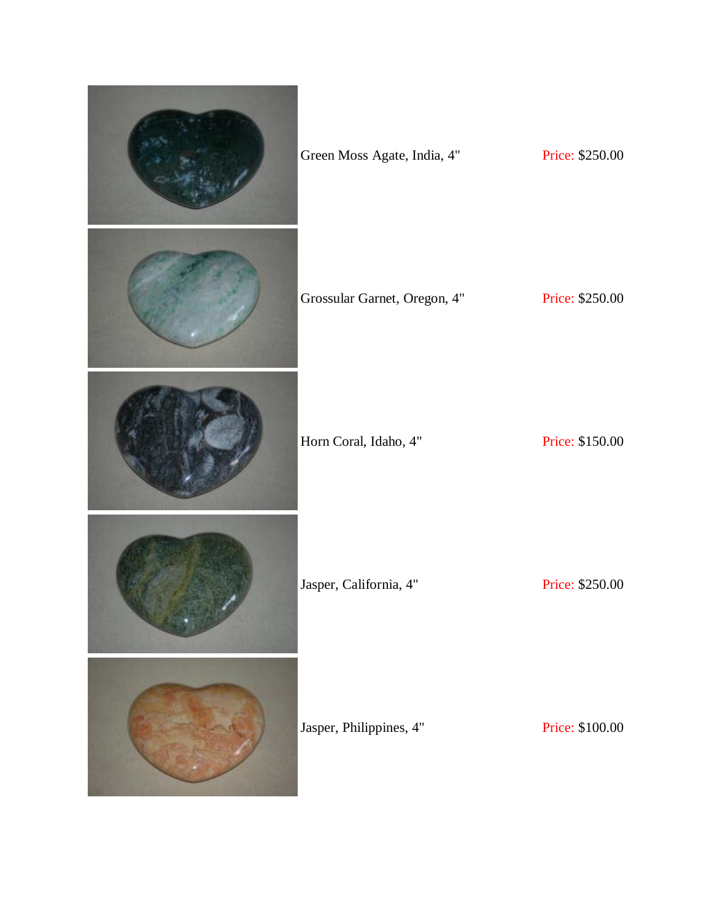| Green Moss Agate, India, 4"  | Price: \$250.00 |
|------------------------------|-----------------|
| Grossular Garnet, Oregon, 4" | Price: \$250.00 |
| Horn Coral, Idaho, 4"        | Price: \$150.00 |
| Jasper, California, 4"       | Price: \$250.00 |
| Jasper, Philippines, 4"      | Price: \$100.00 |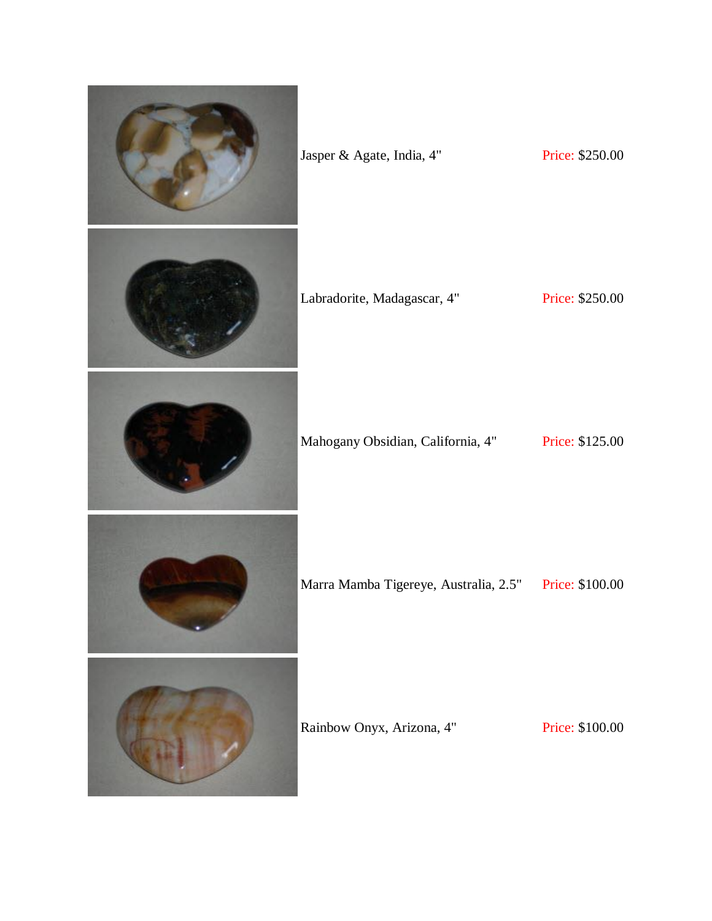| Jasper & Agate, India, 4"             | Price: \$250.00 |
|---------------------------------------|-----------------|
| Labradorite, Madagascar, 4"           | Price: \$250.00 |
| Mahogany Obsidian, California, 4"     | Price: \$125.00 |
| Marra Mamba Tigereye, Australia, 2.5" | Price: \$100.00 |
| Rainbow Onyx, Arizona, 4"             | Price: \$100.00 |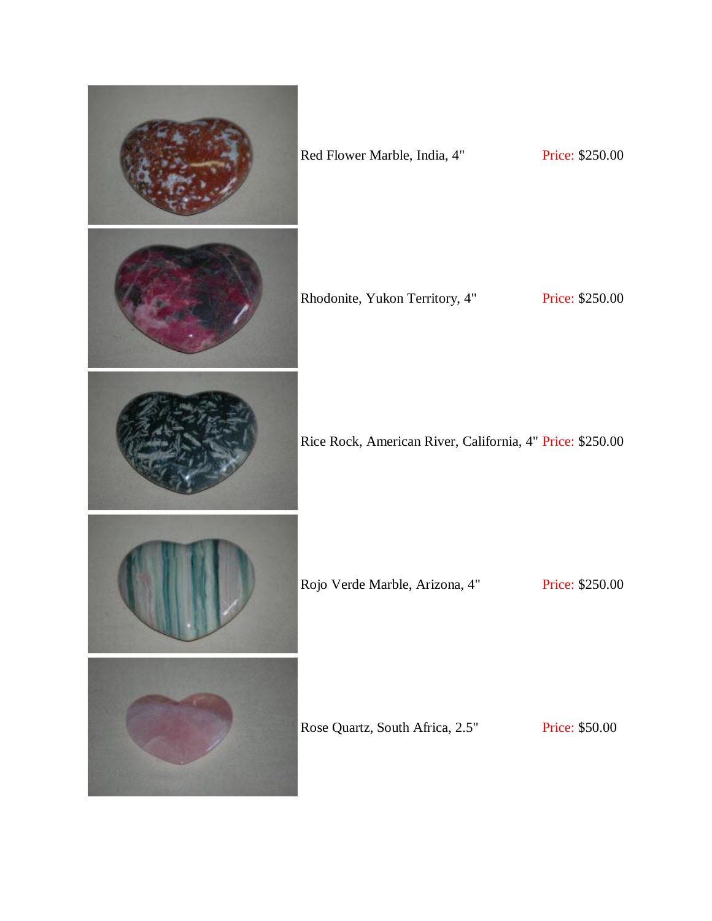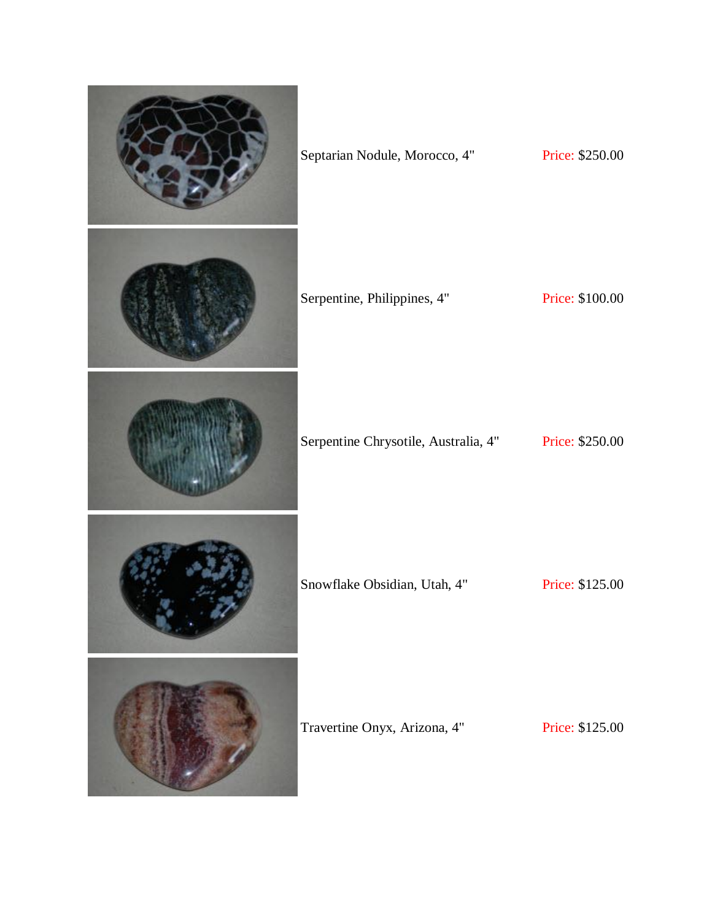| Septarian Nodule, Morocco, 4"        | Price: \$250.00 |
|--------------------------------------|-----------------|
| Serpentine, Philippines, 4"          | Price: \$100.00 |
| Serpentine Chrysotile, Australia, 4" | Price: \$250.00 |
| Snowflake Obsidian, Utah, 4"         | Price: \$125.00 |
| Travertine Onyx, Arizona, 4"         | Price: \$125.00 |